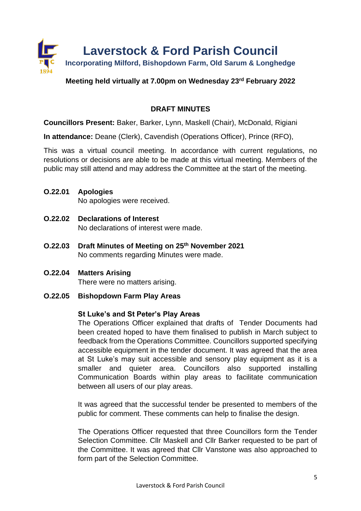

# **Meeting held virtually at 7.00pm on Wednesday 23rd February 2022**

# **DRAFT MINUTES**

**Councillors Present:** Baker, Barker, Lynn, Maskell (Chair), McDonald, Rigiani

**In attendance:** Deane (Clerk), Cavendish (Operations Officer), Prince (RFO),

This was a virtual council meeting. In accordance with current regulations, no resolutions or decisions are able to be made at this virtual meeting. Members of the public may still attend and may address the Committee at the start of the meeting.

**O.22.01 Apologies**

No apologies were received.

- **O.22.02 Declarations of Interest** No declarations of interest were made.
- **O.22.03 Draft Minutes of Meeting on 25th November 2021** No comments regarding Minutes were made.
- **O.22.04 Matters Arising** There were no matters arising.

# **O.22.05 Bishopdown Farm Play Areas**

### **St Luke's and St Peter's Play Areas**

The Operations Officer explained that drafts of Tender Documents had been created hoped to have them finalised to publish in March subject to feedback from the Operations Committee. Councillors supported specifying accessible equipment in the tender document. It was agreed that the area at St Luke's may suit accessible and sensory play equipment as it is a smaller and quieter area. Councillors also supported installing Communication Boards within play areas to facilitate communication between all users of our play areas.

It was agreed that the successful tender be presented to members of the public for comment. These comments can help to finalise the design.

The Operations Officer requested that three Councillors form the Tender Selection Committee. Cllr Maskell and Cllr Barker requested to be part of the Committee. It was agreed that Cllr Vanstone was also approached to form part of the Selection Committee.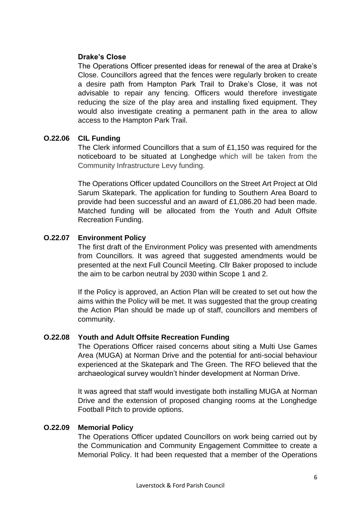# **Drake's Close**

The Operations Officer presented ideas for renewal of the area at Drake's Close. Councillors agreed that the fences were regularly broken to create a desire path from Hampton Park Trail to Drake's Close, it was not advisable to repair any fencing. Officers would therefore investigate reducing the size of the play area and installing fixed equipment. They would also investigate creating a permanent path in the area to allow access to the Hampton Park Trail.

## **O.22.06 CIL Funding**

The Clerk informed Councillors that a sum of £1,150 was required for the noticeboard to be situated at Longhedge which will be taken from the Community Infrastructure Levy funding.

The Operations Officer updated Councillors on the Street Art Project at Old Sarum Skatepark. The application for funding to Southern Area Board to provide had been successful and an award of £1,086.20 had been made. Matched funding will be allocated from the Youth and Adult Offsite Recreation Funding.

# **O.22.07 Environment Policy**

The first draft of the Environment Policy was presented with amendments from Councillors. It was agreed that suggested amendments would be presented at the next Full Council Meeting. Cllr Baker proposed to include the aim to be carbon neutral by 2030 within Scope 1 and 2.

If the Policy is approved, an Action Plan will be created to set out how the aims within the Policy will be met. It was suggested that the group creating the Action Plan should be made up of staff, councillors and members of community.

### **O.22.08 Youth and Adult Offsite Recreation Funding**

The Operations Officer raised concerns about siting a Multi Use Games Area (MUGA) at Norman Drive and the potential for anti-social behaviour experienced at the Skatepark and The Green. The RFO believed that the archaeological survey wouldn't hinder development at Norman Drive.

It was agreed that staff would investigate both installing MUGA at Norman Drive and the extension of proposed changing rooms at the Longhedge Football Pitch to provide options.

### **O.22.09 Memorial Policy**

The Operations Officer updated Councillors on work being carried out by the Communication and Community Engagement Committee to create a Memorial Policy. It had been requested that a member of the Operations